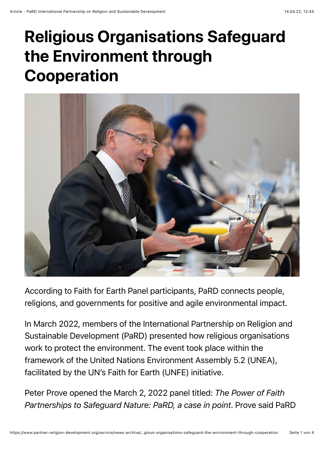## Religious Organisations Safeguard the Environment through Cooperation



According to Faith for Earth Panel participants, PaRD connects people, religions, and governments for positive and agile environmental impact.

In March 2022, members of the International Partnership on Religion and Sustainable Development (PaRD) presented how religious organisations work to protect the environment. The event took place within the framework of the United Nations Environment Assembly 5.2 (UNEA), facilitated by the UN's Faith for Earth (UNFE) initiative.

Peter Prove opened the March 2, 2022 panel titled: *The Power of Faith Partnerships to Safeguard Nature: PaRD, a case in point*. Prove said PaRD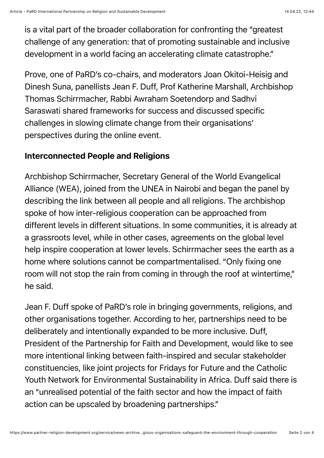is a vital part of the broader collaboration for confronting the "greatest challenge of any generation: that of promoting sustainable and inclusive development in a world facing an accelerating climate catastrophe."

Prove, one of PaRD's co-chairs, and moderators Joan Okitoi-Heisig and Dinesh Suna, panellists Jean F. Duff, Prof Katherine Marshall, Archbishop Thomas Schirrmacher, Rabbi Awraham Soetendorp and Sadhvi Saraswati shared frameworks for success and discussed specific challenges in slowing climate change from their organisations' perspectives during the online event.

## Interconnected People and Religions

Archbishop Schirrmacher, Secretary General of the World Evangelical Alliance (WEA), joined from the UNEA in Nairobi and began the panel by describing the link between all people and all religions. The archbishop spoke of how inter-religious cooperation can be approached from different levels in different situations. In some communities, it is already at a grassroots level, while in other cases, agreements on the global level help inspire cooperation at lower levels. Schirrmacher sees the earth as a home where solutions cannot be compartmentalised. "Only fixing one room will not stop the rain from coming in through the roof at wintertime," he said.

Jean F. Duff spoke of PaRD's role in bringing governments, religions, and other organisations together. According to her, partnerships need to be deliberately and intentionally expanded to be more inclusive. Duff, President of the Partnership for Faith and Development, would like to see more intentional linking between faith-inspired and secular stakeholder constituencies, like joint projects for Fridays for Future and the Catholic Youth Network for Environmental Sustainability in Africa. Duff said there is an "unrealised potential of the faith sector and how the impact of faith action can be upscaled by broadening partnerships."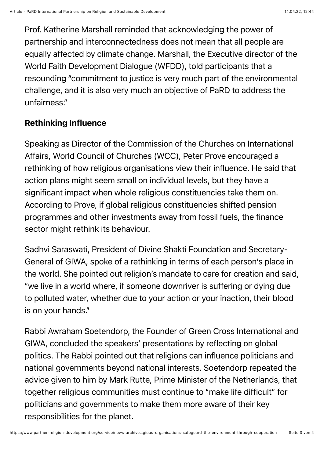Prof. Katherine Marshall reminded that acknowledging the power of partnership and interconnectedness does not mean that all people are equally affected by climate change. Marshall, the Executive director of the World Faith Development Dialogue (WFDD), told participants that a resounding "commitment to justice is very much part of the environmental challenge, and it is also very much an objective of PaRD to address the unfairness."

## Rethinking Influence

Speaking as Director of the Commission of the Churches on International Affairs, World Council of Churches (WCC), Peter Prove encouraged a rethinking of how religious organisations view their influence. He said that action plans might seem small on individual levels, but they have a significant impact when whole religious constituencies take them on. According to Prove, if global religious constituencies shifted pension programmes and other investments away from fossil fuels, the finance sector might rethink its behaviour.

Sadhvi Saraswati, President of Divine Shakti Foundation and Secretary-General of GIWA, spoke of a rethinking in terms of each person's place in the world. She pointed out religion's mandate to care for creation and said, "we live in a world where, if someone downriver is suffering or dying due to polluted water, whether due to your action or your inaction, their blood is on your hands."

Rabbi Awraham Soetendorp, the Founder of Green Cross International and GIWA, concluded the speakers' presentations by reflecting on global politics. The Rabbi pointed out that religions can influence politicians and national governments beyond national interests. Soetendorp repeated the advice given to him by Mark Rutte, Prime Minister of the Netherlands, that together religious communities must continue to "make life difficult" for politicians and governments to make them more aware of their key responsibilities for the planet.